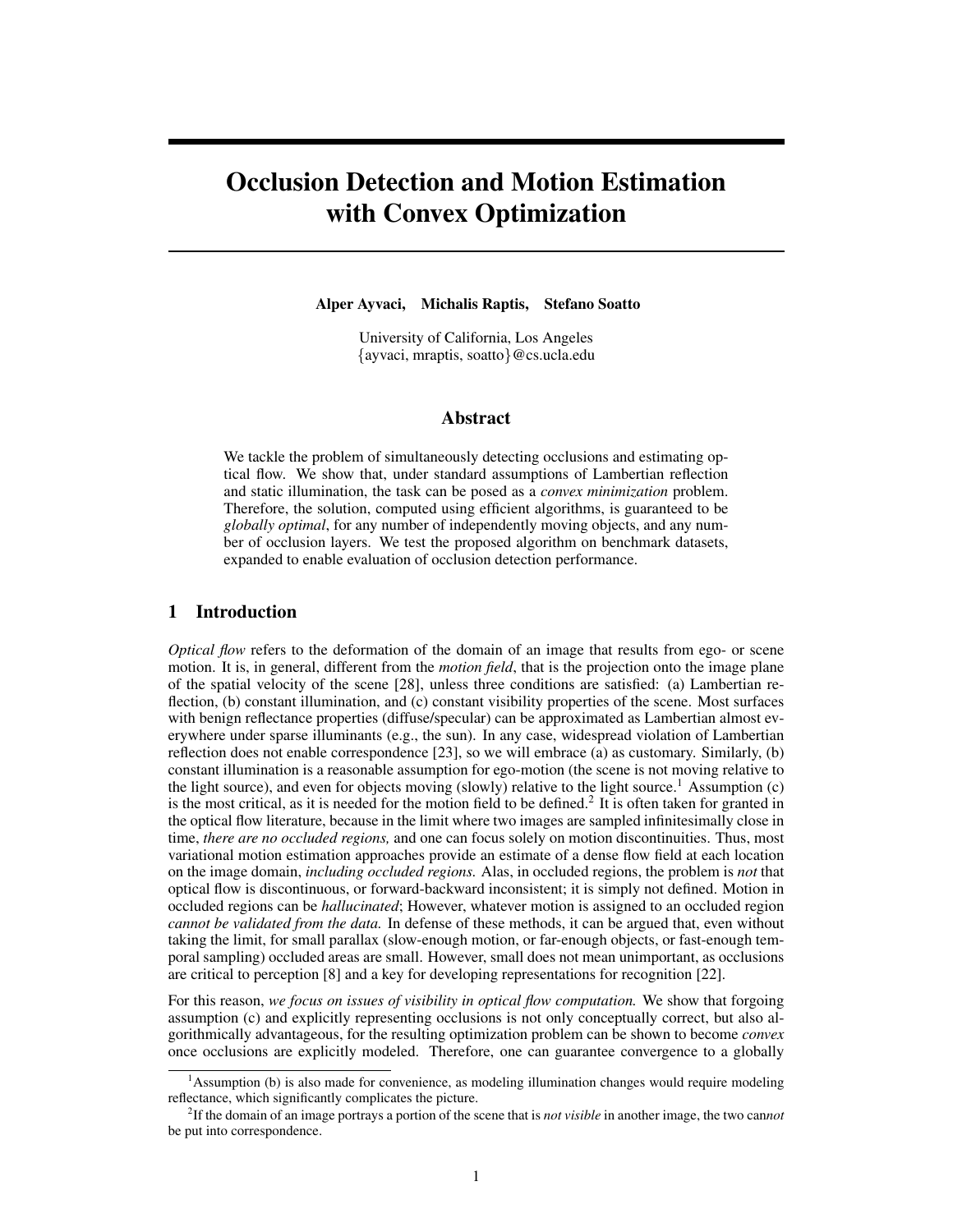# Occlusion Detection and Motion Estimation with Convex Optimization

Alper Ayvaci, Michalis Raptis, Stefano Soatto

University of California, Los Angeles {ayvaci, mraptis, soatto}@cs.ucla.edu

## Abstract

We tackle the problem of simultaneously detecting occlusions and estimating optical flow. We show that, under standard assumptions of Lambertian reflection and static illumination, the task can be posed as a *convex minimization* problem. Therefore, the solution, computed using efficient algorithms, is guaranteed to be *globally optimal*, for any number of independently moving objects, and any number of occlusion layers. We test the proposed algorithm on benchmark datasets, expanded to enable evaluation of occlusion detection performance.

## 1 Introduction

*Optical flow* refers to the deformation of the domain of an image that results from ego- or scene motion. It is, in general, different from the *motion field*, that is the projection onto the image plane of the spatial velocity of the scene [28], unless three conditions are satisfied: (a) Lambertian reflection, (b) constant illumination, and (c) constant visibility properties of the scene. Most surfaces with benign reflectance properties (diffuse/specular) can be approximated as Lambertian almost everywhere under sparse illuminants (e.g., the sun). In any case, widespread violation of Lambertian reflection does not enable correspondence [23], so we will embrace (a) as customary. Similarly, (b) constant illumination is a reasonable assumption for ego-motion (the scene is not moving relative to the light source), and even for objects moving (slowly) relative to the light source.<sup>1</sup> Assumption (c) is the most critical, as it is needed for the motion field to be defined.<sup>2</sup> It is often taken for granted in the optical flow literature, because in the limit where two images are sampled infinitesimally close in time, *there are no occluded regions,* and one can focus solely on motion discontinuities. Thus, most variational motion estimation approaches provide an estimate of a dense flow field at each location on the image domain, *including occluded regions.* Alas, in occluded regions, the problem is *not* that optical flow is discontinuous, or forward-backward inconsistent; it is simply not defined. Motion in occluded regions can be *hallucinated*; However, whatever motion is assigned to an occluded region *cannot be validated from the data.* In defense of these methods, it can be argued that, even without taking the limit, for small parallax (slow-enough motion, or far-enough objects, or fast-enough temporal sampling) occluded areas are small. However, small does not mean unimportant, as occlusions are critical to perception [8] and a key for developing representations for recognition [22].

For this reason, *we focus on issues of visibility in optical flow computation.* We show that forgoing assumption (c) and explicitly representing occlusions is not only conceptually correct, but also algorithmically advantageous, for the resulting optimization problem can be shown to become *convex* once occlusions are explicitly modeled. Therefore, one can guarantee convergence to a globally

<sup>&</sup>lt;sup>1</sup>Assumption (b) is also made for convenience, as modeling illumination changes would require modeling reflectance, which significantly complicates the picture.

<sup>2</sup> If the domain of an image portrays a portion of the scene that is *not visible* in another image, the two can*not* be put into correspondence.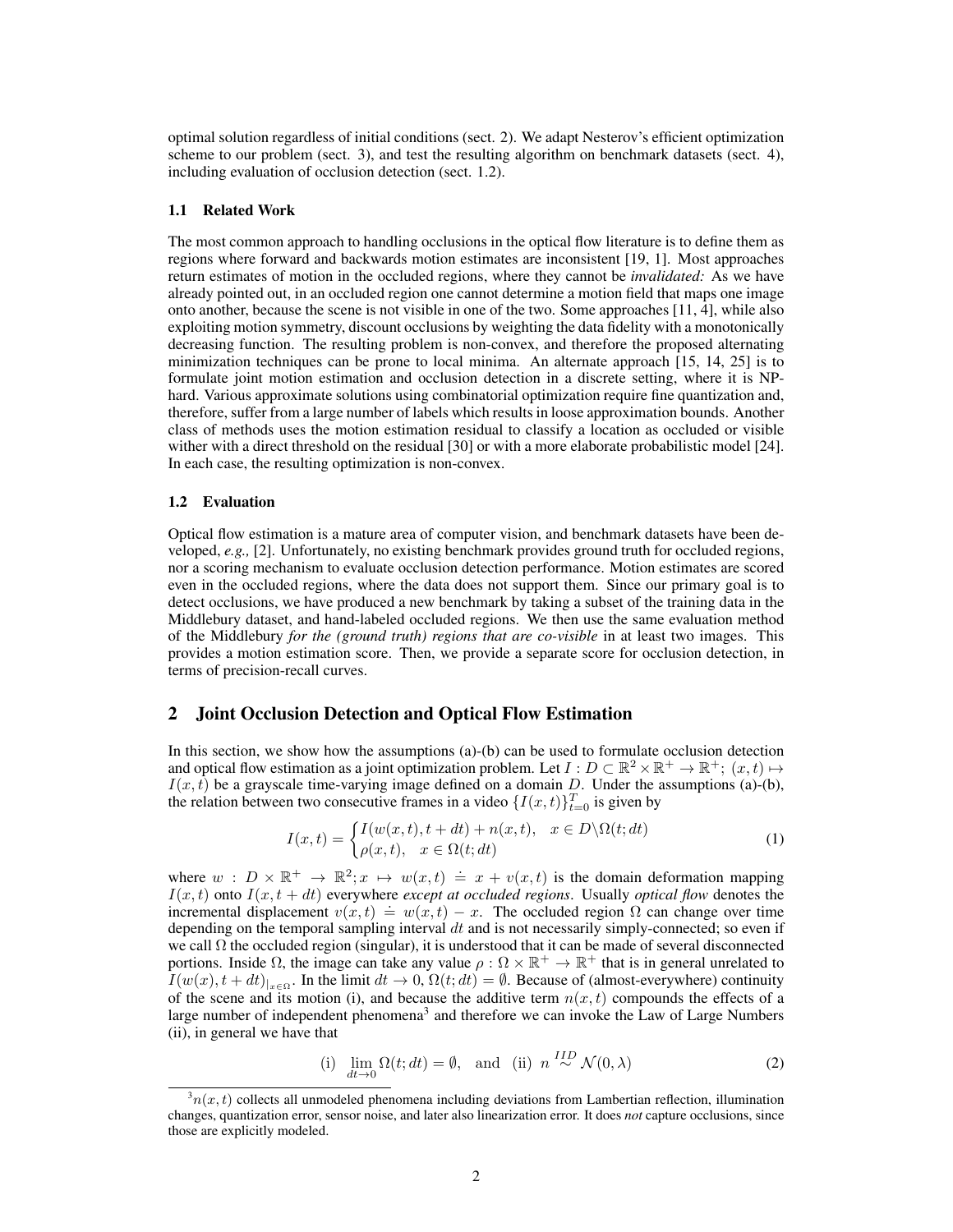optimal solution regardless of initial conditions (sect. 2). We adapt Nesterov's efficient optimization scheme to our problem (sect. 3), and test the resulting algorithm on benchmark datasets (sect. 4), including evaluation of occlusion detection (sect. 1.2).

#### 1.1 Related Work

The most common approach to handling occlusions in the optical flow literature is to define them as regions where forward and backwards motion estimates are inconsistent [19, 1]. Most approaches return estimates of motion in the occluded regions, where they cannot be *invalidated:* As we have already pointed out, in an occluded region one cannot determine a motion field that maps one image onto another, because the scene is not visible in one of the two. Some approaches [11, 4], while also exploiting motion symmetry, discount occlusions by weighting the data fidelity with a monotonically decreasing function. The resulting problem is non-convex, and therefore the proposed alternating minimization techniques can be prone to local minima. An alternate approach [15, 14, 25] is to formulate joint motion estimation and occlusion detection in a discrete setting, where it is NPhard. Various approximate solutions using combinatorial optimization require fine quantization and, therefore, suffer from a large number of labels which results in loose approximation bounds. Another class of methods uses the motion estimation residual to classify a location as occluded or visible wither with a direct threshold on the residual [30] or with a more elaborate probabilistic model [24]. In each case, the resulting optimization is non-convex.

#### 1.2 Evaluation

Optical flow estimation is a mature area of computer vision, and benchmark datasets have been developed, *e.g.,* [2]. Unfortunately, no existing benchmark provides ground truth for occluded regions, nor a scoring mechanism to evaluate occlusion detection performance. Motion estimates are scored even in the occluded regions, where the data does not support them. Since our primary goal is to detect occlusions, we have produced a new benchmark by taking a subset of the training data in the Middlebury dataset, and hand-labeled occluded regions. We then use the same evaluation method of the Middlebury *for the (ground truth) regions that are co-visible* in at least two images. This provides a motion estimation score. Then, we provide a separate score for occlusion detection, in terms of precision-recall curves.

## 2 Joint Occlusion Detection and Optical Flow Estimation

In this section, we show how the assumptions (a)-(b) can be used to formulate occlusion detection and optical flow estimation as a joint optimization problem. Let  $I: D \subset \mathbb{R}^2 \times \mathbb{R}^+ \to \mathbb{R}^+$ ;  $(x, t) \mapsto$  $I(x, t)$  be a grayscale time-varying image defined on a domain  $D$ . Under the assumptions (a)-(b), the relation between two consecutive frames in a video  $\{I(x,t)\}_{t=0}^T$  is given by

$$
I(x,t) = \begin{cases} I(w(x,t),t+dt) + n(x,t), & x \in D \backslash \Omega(t;dt) \\ \rho(x,t), & x \in \Omega(t;dt) \end{cases}
$$
(1)

where  $w : D \times \mathbb{R}^+ \to \mathbb{R}^2$ ;  $x \mapsto w(x,t) \doteq x + v(x,t)$  is the domain deformation mapping  $I(x, t)$  onto  $I(x, t + dt)$  everywhere *except at occluded regions*. Usually *optical flow* denotes the  $i(x, t)$  onto  $i(x, t + at)$  everywhere except at occluded regions. Estany optical flow denotes the<br>incremental displacement  $v(x, t) = w(x, t) - x$ . The occluded region  $\Omega$  can change over time depending on the temporal sampling interval  $dt$  and is not necessarily simply-connected; so even if we call  $\Omega$  the occluded region (singular), it is understood that it can be made of several disconnected portions. Inside  $\Omega$ , the image can take any value  $\rho : \Omega \times \mathbb{R}^+ \to \mathbb{R}^+$  that is in general unrelated to  $I(w(x), t + dt)_{|_{x \in \Omega}}$ . In the limit  $dt \to 0$ ,  $\Omega(t; dt) = \emptyset$ . Because of (almost-everywhere) continuity of the scene and its motion (i), and because the additive term  $n(x, t)$  compounds the effects of a large number of independent phenomena<sup>3</sup> and therefore we can invoke the Law of Large Numbers (ii), in general we have that

(i) 
$$
\lim_{dt \to 0} \Omega(t; dt) = \emptyset
$$
, and (ii)  $n \stackrel{IID}{\sim} \mathcal{N}(0, \lambda)$  (2)

 $3n(x, t)$  collects all unmodeled phenomena including deviations from Lambertian reflection, illumination changes, quantization error, sensor noise, and later also linearization error. It does *not* capture occlusions, since those are explicitly modeled.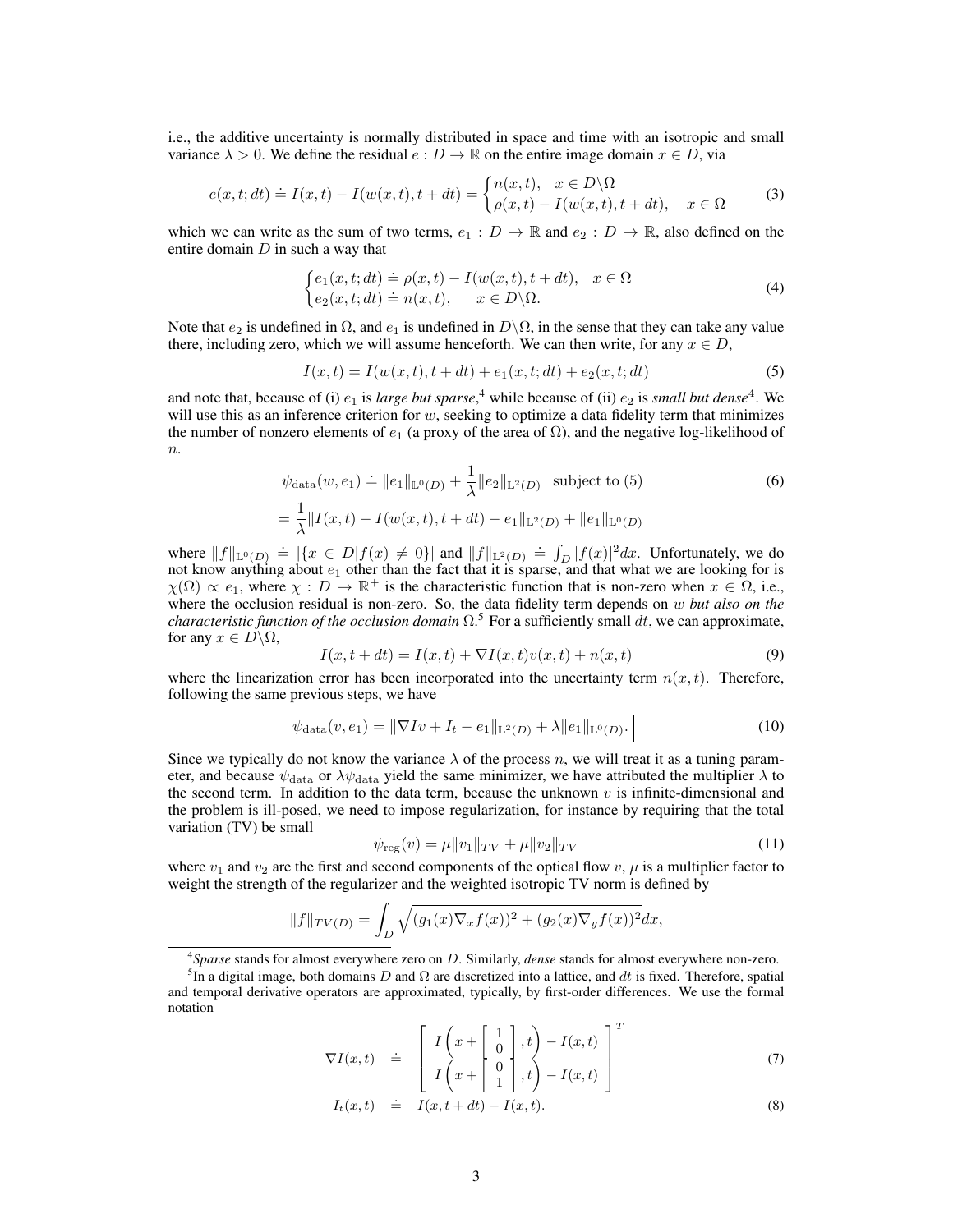i.e., the additive uncertainty is normally distributed in space and time with an isotropic and small variance  $\lambda > 0$ . We define the residual  $e : D \to \mathbb{R}$  on the entire image domain  $x \in D$ , via

$$
e(x,t;dt) \doteq I(x,t) - I(w(x,t),t+dt) = \begin{cases} n(x,t), & x \in D \backslash \Omega \\ \rho(x,t) - I(w(x,t),t+dt), & x \in \Omega \end{cases}
$$
(3)

which we can write as the sum of two terms,  $e_1 : D \to \mathbb{R}$  and  $e_2 : D \to \mathbb{R}$ , also defined on the entire domain  $D$  in such a way that

$$
\begin{cases} e_1(x,t;dt) \doteq \rho(x,t) - I(w(x,t),t+dt), & x \in \Omega \\ e_2(x,t;dt) \doteq n(x,t), & x \in D \backslash \Omega. \end{cases}
$$
\n(4)

Note that  $e_2$  is undefined in  $\Omega$ , and  $e_1$  is undefined in  $D\setminus\Omega$ , in the sense that they can take any value there, including zero, which we will assume henceforth. We can then write, for any  $x \in D$ ,

$$
I(x,t) = I(w(x,t),t + dt) + e_1(x,t;dt) + e_2(x,t;dt)
$$
\n(5)

and note that, because of (i)  $e_1$  is *large but sparse*,<sup>4</sup> while because of (ii)  $e_2$  is *small but dense*<sup>4</sup>. We will use this as an inference criterion for  $w$ , seeking to optimize a data fidelity term that minimizes the number of nonzero elements of  $e_1$  (a proxy of the area of  $\Omega$ ), and the negative log-likelihood of  $n$ .

$$
\psi_{\text{data}}(w, e_1) \doteq ||e_1||_{\mathbb{L}^0(D)} + \frac{1}{\lambda} ||e_2||_{\mathbb{L}^2(D)} \text{ subject to (5)}
$$
\n
$$
= \frac{1}{\lambda} ||I(x, t) - I(w(x, t), t + dt) - e_1||_{\mathbb{L}^2(D)} + ||e_1||_{\mathbb{L}^0(D)}
$$
\n(6)

where  $||f||_{\mathbb{L}^0(D)} = |\{x \in D | f(x) \neq 0\}|$  and  $||f||_{\mathbb{L}^2(D)} = \int_D |f(x)|^2 dx$ . Unfortunately, we do not know anything about  $e_1$  other than the fact that it is sparse, and that what we are looking for is  $\chi(\Omega) \propto e_1$ , where  $\chi : D \to \mathbb{R}^+$  is the characteristic function that is non-zero when  $x \in \Omega$ , i.e., where the occlusion residual is non-zero. So, the data fidelity term depends on w *but also on the characteristic function of the occlusion domain*  $\Omega$ .<sup>5</sup> For a sufficiently small  $dt$ , we can approximate, for any  $x \in D \backslash \Omega$ ,

$$
I(x, t + dt) = I(x, t) + \nabla I(x, t)v(x, t) + n(x, t)
$$
\n(9)

where the linearization error has been incorporated into the uncertainty term  $n(x, t)$ . Therefore, following the same previous steps, we have

$$
\psi_{\text{data}}(v, e_1) = \|\nabla I v + I_t - e_1\|_{\mathbb{L}^2(D)} + \lambda \|e_1\|_{\mathbb{L}^0(D)}.
$$
\n(10)

Since we typically do not know the variance  $\lambda$  of the process n, we will treat it as a tuning parameter, and because  $\psi_{\text{data}}$  or  $\lambda\psi_{\text{data}}$  yield the same minimizer, we have attributed the multiplier  $\lambda$  to the second term. In addition to the data term, because the unknown  $v$  is infinite-dimensional and the problem is ill-posed, we need to impose regularization, for instance by requiring that the total variation (TV) be small

$$
\psi_{\text{reg}}(v) = \mu \|v_1\|_{TV} + \mu \|v_2\|_{TV} \tag{11}
$$

where  $v_1$  and  $v_2$  are the first and second components of the optical flow v,  $\mu$  is a multiplier factor to weight the strength of the regularizer and the weighted isotropic TV norm is defined by

$$
||f||_{TV(D)} = \int_D \sqrt{(g_1(x)\nabla_x f(x))^2 + (g_2(x)\nabla_y f(x))^2} dx,
$$

4 *Sparse* stands for almost everywhere zero on D. Similarly, *dense* stands for almost everywhere non-zero.

$$
\nabla I(x,t) \quad \doteq \quad \begin{bmatrix} I\left(x + \begin{bmatrix} 1\\ 0\\ 1 \end{bmatrix}, t\right) - I(x,t) \\ I\left(x + \begin{bmatrix} 0\\ 1\\ 1 \end{bmatrix}, t\right) - I(x,t) \end{bmatrix}^T \tag{7}
$$

$$
I_t(x,t) \quad \doteq \quad I(x,t+dt) - I(x,t). \tag{8}
$$

<sup>&</sup>lt;sup>5</sup>In a digital image, both domains D and  $\Omega$  are discretized into a lattice, and dt is fixed. Therefore, spatial and temporal derivative operators are approximated, typically, by first-order differences. We use the formal notation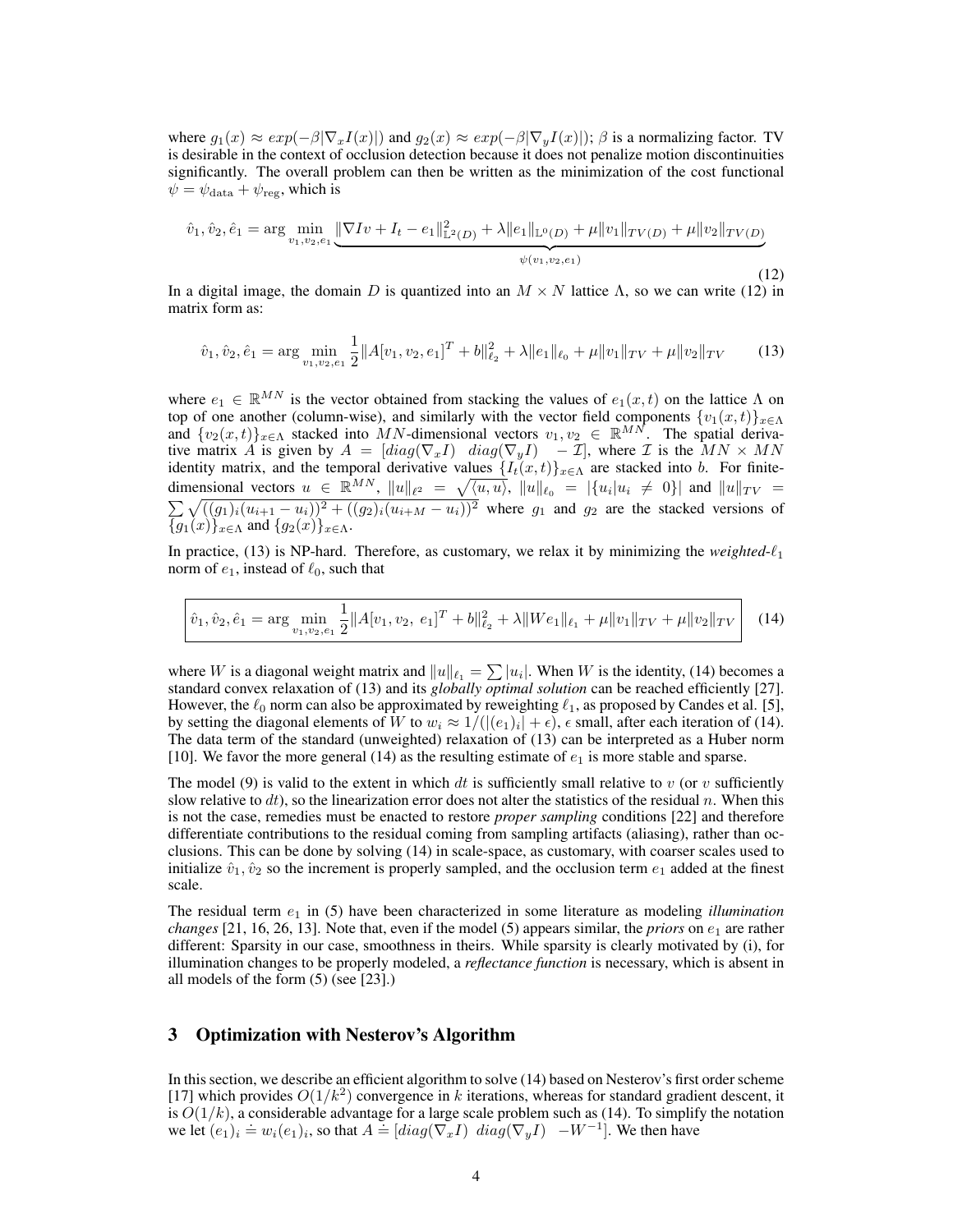where  $g_1(x) \approx exp(-\beta |\nabla_x I(x)|)$  and  $g_2(x) \approx exp(-\beta |\nabla_y I(x)|)$ ;  $\beta$  is a normalizing factor. TV is desirable in the context of occlusion detection because it does not penalize motion discontinuities significantly. The overall problem can then be written as the minimization of the cost functional  $\psi = \psi_{\text{data}} + \psi_{\text{reg}}$ , which is

$$
\hat{v}_1, \hat{v}_2, \hat{e}_1 = \arg\min_{v_1, v_2, e_1} \underbrace{\|\nabla I v + I_t - e_1\|_{\mathbb{L}^2(D)}^2 + \lambda \|e_1\|_{\mathbb{L}^0(D)} + \mu \|v_1\|_{TV(D)} + \mu \|v_2\|_{TV(D)}}_{\psi(v_1, v_2, e_1)} \tag{12}
$$

In a digital image, the domain D is quantized into an  $M \times N$  lattice  $\Lambda$ , so we can write (12) in matrix form as:

$$
\hat{v}_1, \hat{v}_2, \hat{e}_1 = \arg\min_{v_1, v_2, e_1} \frac{1}{2} \|A[v_1, v_2, e_1]^T + b\|_{\ell_2}^2 + \lambda \|e_1\|_{\ell_0} + \mu \|v_1\|_{TV} + \mu \|v_2\|_{TV} \tag{13}
$$

where  $e_1 \in \mathbb{R}^{MN}$  is the vector obtained from stacking the values of  $e_1(x, t)$  on the lattice  $\Lambda$  on top of one another (column-wise), and similarly with the vector field components  $\{v_1(x,t)\}_{x\in\Lambda}$ and  $\{v_2(x,t)\}_{x\in\Lambda}$  stacked into MN-dimensional vectors  $v_1, v_2 \in \mathbb{R}^{MN}$ . The spatial derivative matrix A is given by  $A = [diag(\nabla_x I)$   $diag(\nabla_y I) - \mathcal{I}]$ , where  $\mathcal I$  is the  $MN \times MN$ identity matrix, and the temporal derivative values  $\{I_t(x,t)\}_{x\in\Lambda}$  are stacked into b. For finitedimensional vectors  $u \in \mathbb{R}^{MN}$ ,  $||u||_{\ell^2} = \sqrt{\langle u, u \rangle}$ ,  $||u||_{\ell_0} = |\{u_i | u_i \neq 0\}|$  and  $||u||_{TV} =$  $\sum \sqrt{((g_1)_i(u_{i+1} - u_i))^2 + ((g_2)_i(u_{i+M} - u_i))^2}$  where  $g_1$  and  $g_2$  are the stacked versions of  ${g_1(x)}_{x\in\Lambda}$  and  ${g_2(x)}_{x\in\Lambda}$ .

In practice, (13) is NP-hard. Therefore, as customary, we relax it by minimizing the *weighted-* $\ell_1$ norm of  $e_1$ , instead of  $\ell_0$ , such that

$$
\hat{v}_1, \hat{v}_2, \hat{e}_1 = \arg\min_{v_1, v_2, e_1} \frac{1}{2} \|A[v_1, v_2, e_1]^T + b\|_{\ell_2}^2 + \lambda \|We_1\|_{\ell_1} + \mu \|v_1\|_{TV} + \mu \|v_2\|_{TV} \tag{14}
$$

where W is a diagonal weight matrix and  $||u||_{\ell_1} = \sum |u_i|$ . When W is the identity, (14) becomes a standard convex relaxation of (13) and its *globally optimal solution* can be reached efficiently [27]. However, the  $\ell_0$  norm can also be approximated by reweighting  $\ell_1$ , as proposed by Candes et al. [5], by setting the diagonal elements of W to  $w_i \approx 1/((|e_1)_i| + \epsilon)$ ,  $\epsilon$  small, after each iteration of (14). The data term of the standard (unweighted) relaxation of (13) can be interpreted as a Huber norm [10]. We favor the more general (14) as the resulting estimate of  $e_1$  is more stable and sparse.

The model (9) is valid to the extent in which dt is sufficiently small relative to v (or v sufficiently slow relative to dt), so the linearization error does not alter the statistics of the residual n. When this is not the case, remedies must be enacted to restore *proper sampling* conditions [22] and therefore differentiate contributions to the residual coming from sampling artifacts (aliasing), rather than occlusions. This can be done by solving (14) in scale-space, as customary, with coarser scales used to initialize  $\hat{v}_1$ ,  $\hat{v}_2$  so the increment is properly sampled, and the occlusion term  $e_1$  added at the finest scale.

The residual term  $e_1$  in (5) have been characterized in some literature as modeling *illumination changes* [21, 16, 26, 13]. Note that, even if the model (5) appears similar, the *priors* on  $e_1$  are rather different: Sparsity in our case, smoothness in theirs. While sparsity is clearly motivated by (i), for illumination changes to be properly modeled, a *reflectance function* is necessary, which is absent in all models of the form (5) (see [23].)

## 3 Optimization with Nesterov's Algorithm

In this section, we describe an efficient algorithm to solve (14) based on Nesterov's first order scheme [17] which provides  $O(1/k^2)$  convergence in k iterations, whereas for standard gradient descent, it is  $O(1/k)$ , a considerable advantage for a large scale problem such as (14). To simplify the notation we let  $(e_1)_i \doteq w_i(e_1)_i$ , so that  $A = [diag(\nabla_x I) \ diag(\nabla_y I) - W^{-1}]$ . We then have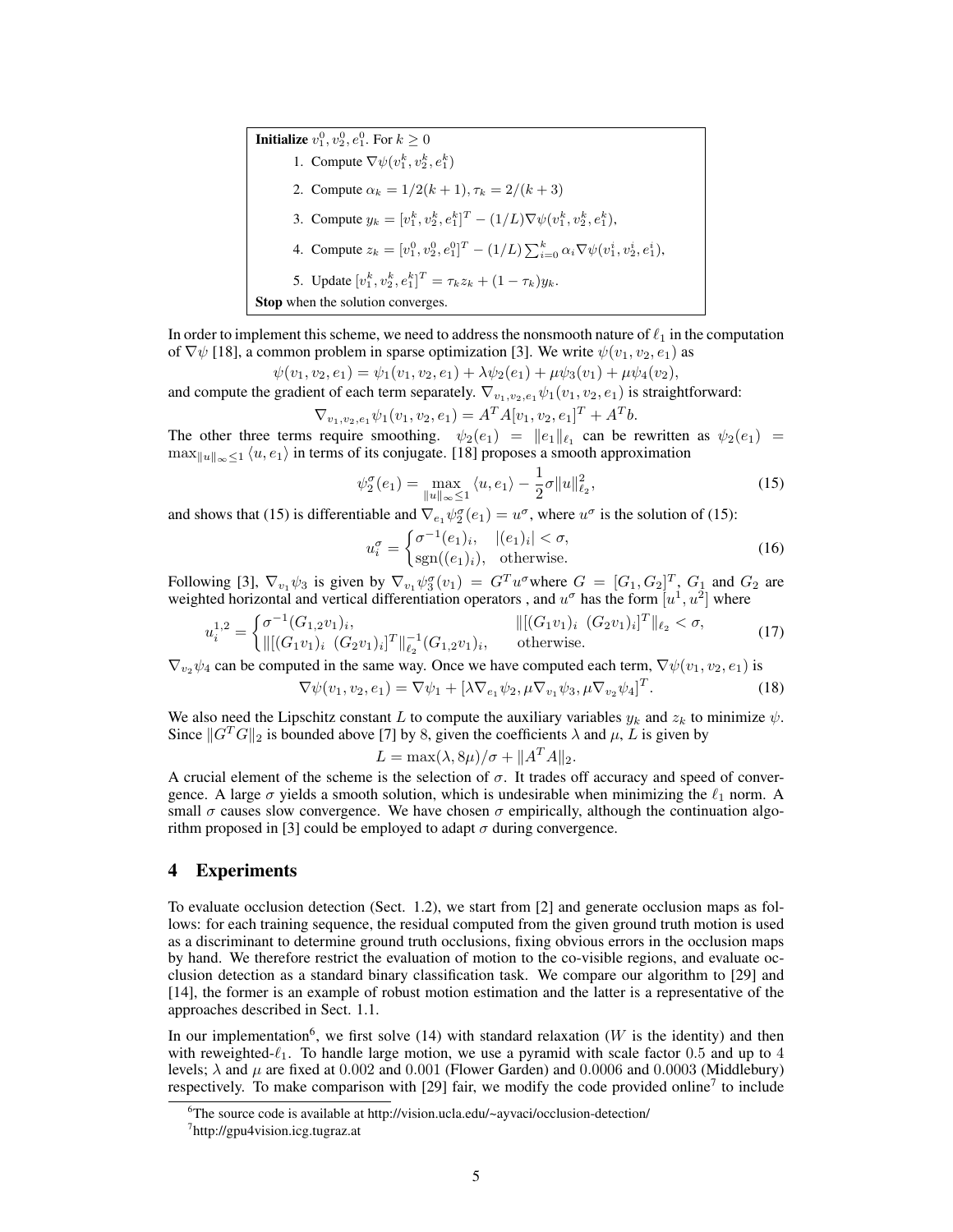**Initialize**  $v_1^0, v_2^0, e_1^0$ . For  $k \ge 0$ 1. Compute  $\nabla \psi(v_1^k, v_2^k, e_1^k)$ 2. Compute  $\alpha_k = 1/2(k+1), \tau_k = 2/(k+3)$ 3. Compute  $y_k = [v_1^k, v_2^k, e_1^k]^T - (1/L)\nabla\psi(v_1^k, v_2^k, e_1^k),$ 4. Compute  $z_k = [v_1^0, v_2^0, e_1^0]^T - (1/L) \sum_{i=0}^k \alpha_i \nabla \psi(v_1^i, v_2^i, e_1^i)$ , 5. Update  $[v_1^k, v_2^k, e_1^k]^T = \tau_k z_k + (1 - \tau_k) y_k$ . Stop when the solution converges.

In order to implement this scheme, we need to address the nonsmooth nature of  $\ell_1$  in the computation of  $\nabla \psi$  [18], a common problem in sparse optimization [3]. We write  $\psi(v_1, v_2, e_1)$  as

$$
\psi(v_1, v_2, e_1) = \psi_1(v_1, v_2, e_1) + \lambda \psi_2(e_1) + \mu \psi_3(v_1) + \mu \psi_4(v_2),
$$

and compute the gradient of each term separately.  $\nabla_{v_1,v_2,e_1} \psi_1(v_1,v_2,e_1)$  is straightforward:

$$
\nabla_{v_1, v_2, e_1} \psi_1(v_1, v_2, e_1) = A^T A [v_1, v_2, e_1]^T + A^T b.
$$

The other three terms require smoothing.  $\psi_2(e_1) = ||e_1||_{\ell_1}$  can be rewritten as  $\psi_2(e_1) =$  $\max_{\|u\|_{\infty}\leq 1} \langle u, e_1\rangle$  in terms of its conjugate. [18] proposes a smooth approximation

$$
\psi_2^{\sigma}(e_1) = \max_{\|u\|_{\infty} \le 1} \langle u, e_1 \rangle - \frac{1}{2}\sigma \|u\|_{\ell_2}^2, \tag{15}
$$

and shows that (15) is differentiable and  $\nabla_{e_1} \psi_2^{\sigma}(e_1) = u^{\sigma}$ , where  $u^{\sigma}$  is the solution of (15):

$$
u_i^{\sigma} = \begin{cases} \sigma^{-1}(e_1)_i, & |(e_1)_i| < \sigma, \\ \text{sgn}((e_1)_i), & \text{otherwise.} \end{cases} \tag{16}
$$

Following [3],  $\nabla_{v_1} \psi_3$  is given by  $\nabla_{v_1} \psi_3^{\sigma}(v_1) = G^T u^{\sigma}$  where  $G = [G_1, G_2]^T$ ,  $G_1$  and  $G_2$  are weighted horizontal and vertical differentiation operators, and  $u^{\sigma}$  has the form  $[u^1, u^2]$  where

$$
u_i^{1,2} = \begin{cases} \sigma^{-1}(G_{1,2}v_1)_i, & ||[(G_1v_1)_i \ (G_2v_1)_i]^T||_{\ell_2} < \sigma, \\ ||[(G_1v_1)_i \ (G_2v_1)_i]^T||_{\ell_2}^{-1}(G_{1,2}v_1)_i, & \text{otherwise.} \end{cases} \tag{17}
$$

 $\nabla_{v_2} \psi_4$  can be computed in the same way. Once we have computed each term,  $\nabla \psi(v_1, v_2, e_1)$  is

$$
\nabla \psi(v_1, v_2, e_1) = \nabla \psi_1 + [\lambda \nabla_{e_1} \psi_2, \mu \nabla_{v_1} \psi_3, \mu \nabla_{v_2} \psi_4]^T.
$$
 (18)

We also need the Lipschitz constant L to compute the auxiliary variables  $y_k$  and  $z_k$  to minimize  $\psi$ . Since  $||G<sup>T</sup>G||_2$  is bounded above [7] by 8, given the coefficients  $\lambda$  and  $\mu$ , L is given by

$$
L = \max(\lambda, 8\mu)/\sigma + \|A^T A\|_2.
$$

A crucial element of the scheme is the selection of  $\sigma$ . It trades off accuracy and speed of convergence. A large  $\sigma$  yields a smooth solution, which is undesirable when minimizing the  $\ell_1$  norm. A small  $\sigma$  causes slow convergence. We have chosen  $\sigma$  empirically, although the continuation algorithm proposed in [3] could be employed to adapt  $\sigma$  during convergence.

# 4 Experiments

To evaluate occlusion detection (Sect. 1.2), we start from [2] and generate occlusion maps as follows: for each training sequence, the residual computed from the given ground truth motion is used as a discriminant to determine ground truth occlusions, fixing obvious errors in the occlusion maps by hand. We therefore restrict the evaluation of motion to the co-visible regions, and evaluate occlusion detection as a standard binary classification task. We compare our algorithm to [29] and [14], the former is an example of robust motion estimation and the latter is a representative of the approaches described in Sect. 1.1.

In our implementation<sup>6</sup>, we first solve (14) with standard relaxation (W is the identity) and then with reweighted- $\ell_1$ . To handle large motion, we use a pyramid with scale factor 0.5 and up to 4 levels;  $\lambda$  and  $\mu$  are fixed at 0.002 and 0.001 (Flower Garden) and 0.0006 and 0.0003 (Middlebury) respectively. To make comparison with [29] fair, we modify the code provided online<sup>7</sup> to include

<sup>&</sup>lt;sup>6</sup>The source code is available at http://vision.ucla.edu/~ayvaci/occlusion-detection/

<sup>7</sup> http://gpu4vision.icg.tugraz.at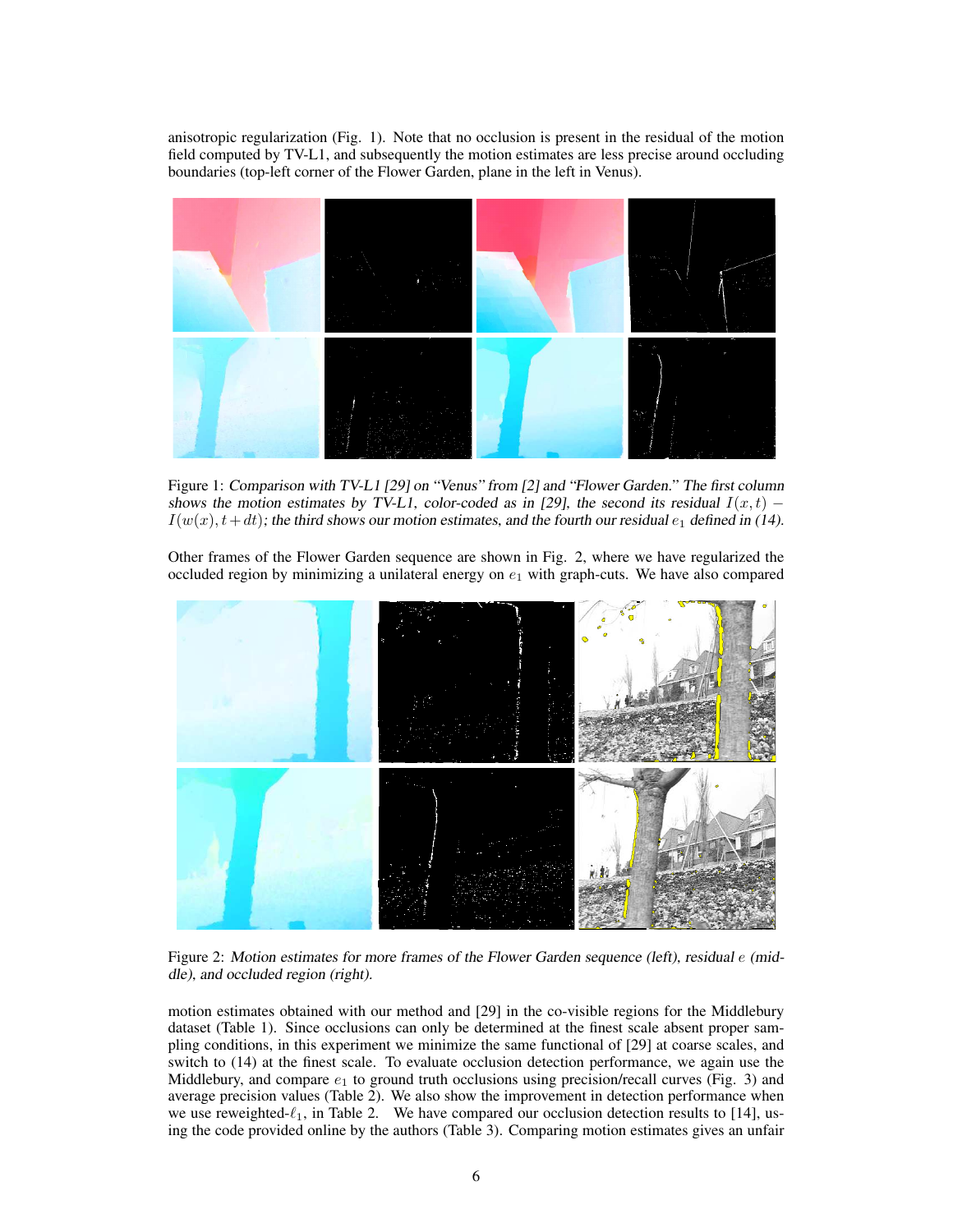anisotropic regularization (Fig. 1). Note that no occlusion is present in the residual of the motion field computed by TV-L1, and subsequently the motion estimates are less precise around occluding boundaries (top-left corner of the Flower Garden, plane in the left in Venus).



Figure 1: Comparison with TV-L1 [29] on "Venus" from [2] and "Flower Garden." The first column shows the motion estimates by TV-L1, color-coded as in [29], the second its residual  $I(x,t)$  –  $I(w(x), t+dt)$ ; the third shows our motion estimates, and the fourth our residual  $e_1$  defined in (14).

Other frames of the Flower Garden sequence are shown in Fig. 2, where we have regularized the occluded region by minimizing a unilateral energy on  $e_1$  with graph-cuts. We have also compared



Figure 2: Motion estimates for more frames of the Flower Garden sequence (left), residual e (middle), and occluded region (right).

motion estimates obtained with our method and [29] in the co-visible regions for the Middlebury dataset (Table 1). Since occlusions can only be determined at the finest scale absent proper sampling conditions, in this experiment we minimize the same functional of [29] at coarse scales, and switch to (14) at the finest scale. To evaluate occlusion detection performance, we again use the Middlebury, and compare  $e_1$  to ground truth occlusions using precision/recall curves (Fig. 3) and average precision values (Table 2). We also show the improvement in detection performance when we use reweighted- $\ell_1$ , in Table 2. We have compared our occlusion detection results to [14], using the code provided online by the authors (Table 3). Comparing motion estimates gives an unfair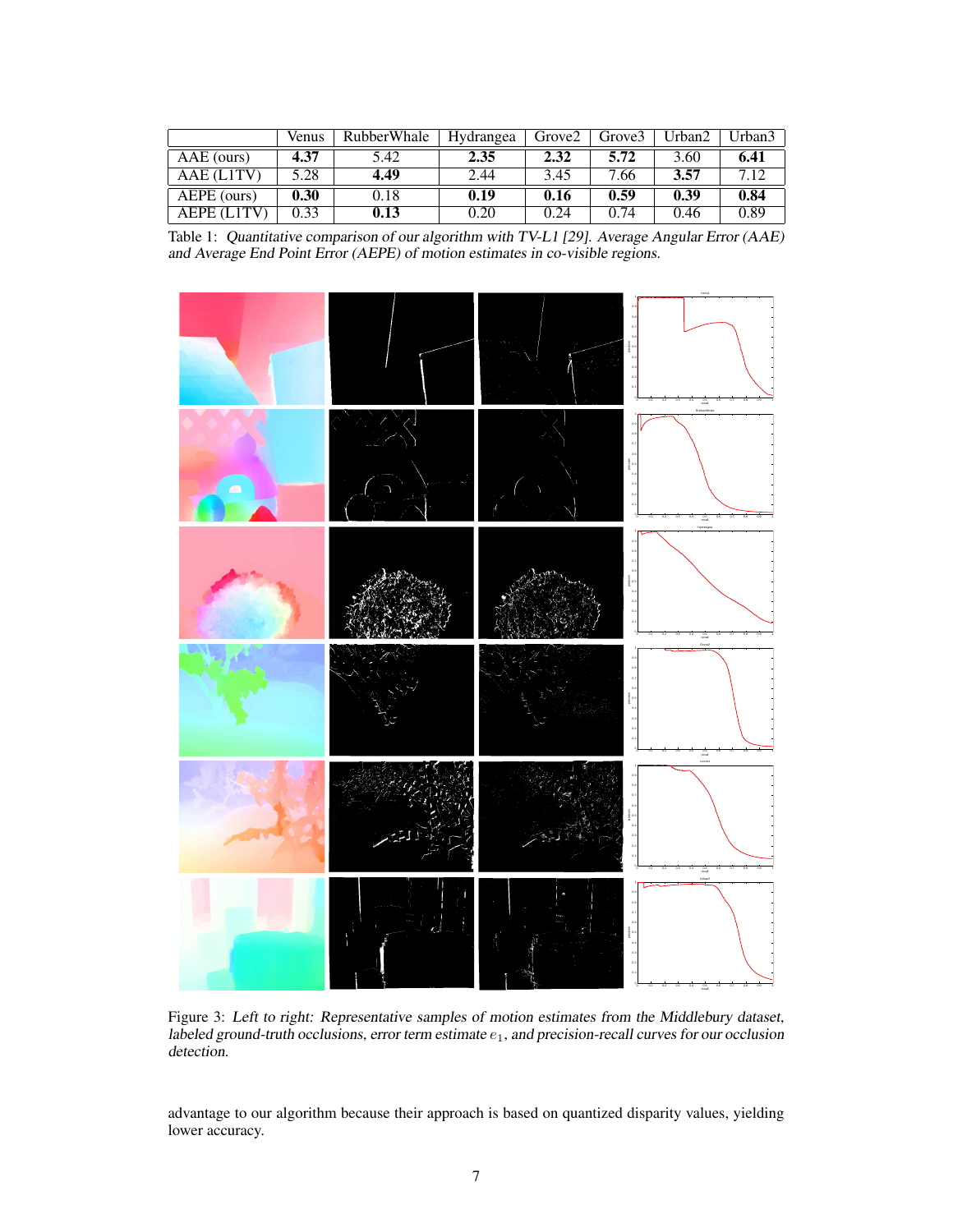|                    | Venus | RubberWhale | Hydrangea | Grove <sub>2</sub> | Grove3 | Urban2 | Urban <sub>3</sub> |
|--------------------|-------|-------------|-----------|--------------------|--------|--------|--------------------|
| AAE (ours)         | 4.37  | 5.42        | 2.35      | 2.32               | 5.72   | 3.60   | 6.41               |
| AAE (L1TV)         | 5.28  | 4.49        | 2.44      | 3.45               | 7.66   | 3.57   | 712                |
| AEPE (ours)        | 0.30  | 0.18        | 0.19      | 0.16               | 0.59   | 0.39   | 0.84               |
| <b>AEPE (L1TV)</b> | 0.33  | 0.13        | 0.20      | 0.24               | 0.74   | 0.46   | 0.89               |

Table 1: Quantitative comparison of our algorithm with TV-L1 [29]. Average Angular Error (AAE) and Average End Point Error (AEPE) of motion estimates in co-visible regions.



Figure 3: Left to right: Representative samples of motion estimates from the Middlebury dataset, labeled ground-truth occlusions, error term estimate  $e_1$ , and precision-recall curves for our occlusion detection.

advantage to our algorithm because their approach is based on quantized disparity values, yielding lower accuracy.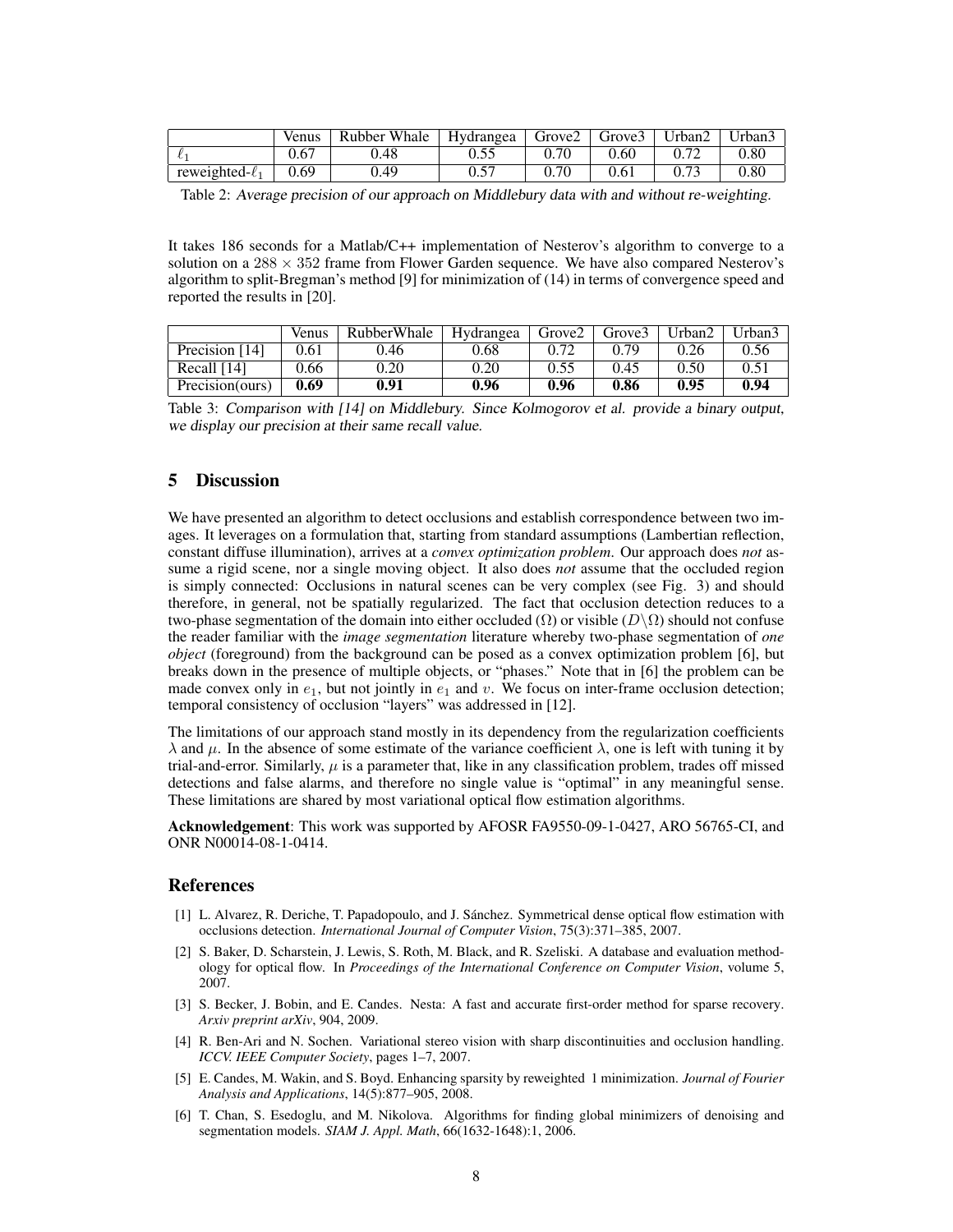|                      | Venus | Rubber Whale | $\perp$ Hydrangea | Grove2   Grove3 |      | Urban2 | Urban3   |
|----------------------|-------|--------------|-------------------|-----------------|------|--------|----------|
|                      | 0.67  | 0.48         | 0.55              | 0.70            | 0.60 |        | $0.80\,$ |
| reweighted- $\ell_1$ | 0.69  | 0.49         | $0.5^{-}$         | 0.70            | 0.61 |        | ${0.80}$ |

Table 2: Average precision of our approach on Middlebury data with and without re-weighting.

It takes 186 seconds for a Matlab/C++ implementation of Nesterov's algorithm to converge to a solution on a  $288 \times 352$  frame from Flower Garden sequence. We have also compared Nesterov's algorithm to split-Bregman's method [9] for minimization of (14) in terms of convergence speed and reported the results in [20].

|                 | <b>Venus</b> | <b>RubberWhale</b> | Hydrangea | Grove <sub>2</sub> | Grove3 | ∐rban2 | $U$ rban?     |
|-----------------|--------------|--------------------|-----------|--------------------|--------|--------|---------------|
| Precision [14]  | 0.61         | 0.46               | 0.68      |                    | በ 79   | 0.26   | 0.56          |
| Recall $[14]$   | 0.66         | 0.20               | 0.20      | 0.55               | 0.45   | 0.50   | $0.5^{\circ}$ |
| Precision(ours) | 0.69         | 0.91               | 0.96      | 0.96               | 0.86   | 0.95   | 0.94          |

Table 3: Comparison with [14] on Middlebury. Since Kolmogorov et al. provide a binary output, we display our precision at their same recall value.

# 5 Discussion

We have presented an algorithm to detect occlusions and establish correspondence between two images. It leverages on a formulation that, starting from standard assumptions (Lambertian reflection, constant diffuse illumination), arrives at a *convex optimization problem*. Our approach does *not* assume a rigid scene, nor a single moving object. It also does *not* assume that the occluded region is simply connected: Occlusions in natural scenes can be very complex (see Fig. 3) and should therefore, in general, not be spatially regularized. The fact that occlusion detection reduces to a two-phase segmentation of the domain into either occluded ( $\Omega$ ) or visible ( $D\setminus\Omega$ ) should not confuse the reader familiar with the *image segmentation* literature whereby two-phase segmentation of *one object* (foreground) from the background can be posed as a convex optimization problem [6], but breaks down in the presence of multiple objects, or "phases." Note that in [6] the problem can be made convex only in  $e_1$ , but not jointly in  $e_1$  and v. We focus on inter-frame occlusion detection; temporal consistency of occlusion "layers" was addressed in [12].

The limitations of our approach stand mostly in its dependency from the regularization coefficients  $\lambda$  and  $\mu$ . In the absence of some estimate of the variance coefficient  $\lambda$ , one is left with tuning it by trial-and-error. Similarly,  $\mu$  is a parameter that, like in any classification problem, trades off missed detections and false alarms, and therefore no single value is "optimal" in any meaningful sense. These limitations are shared by most variational optical flow estimation algorithms.

Acknowledgement: This work was supported by AFOSR FA9550-09-1-0427, ARO 56765-CI, and ONR N00014-08-1-0414.

#### References

- [1] L. Alvarez, R. Deriche, T. Papadopoulo, and J. Sanchez. Symmetrical dense optical flow estimation with ´ occlusions detection. *International Journal of Computer Vision*, 75(3):371–385, 2007.
- [2] S. Baker, D. Scharstein, J. Lewis, S. Roth, M. Black, and R. Szeliski. A database and evaluation methodology for optical flow. In *Proceedings of the International Conference on Computer Vision*, volume 5, 2007.
- [3] S. Becker, J. Bobin, and E. Candes. Nesta: A fast and accurate first-order method for sparse recovery. *Arxiv preprint arXiv*, 904, 2009.
- [4] R. Ben-Ari and N. Sochen. Variational stereo vision with sharp discontinuities and occlusion handling. *ICCV. IEEE Computer Society*, pages 1–7, 2007.
- [5] E. Candes, M. Wakin, and S. Boyd. Enhancing sparsity by reweighted 1 minimization. *Journal of Fourier Analysis and Applications*, 14(5):877–905, 2008.
- [6] T. Chan, S. Esedoglu, and M. Nikolova. Algorithms for finding global minimizers of denoising and segmentation models. *SIAM J. Appl. Math*, 66(1632-1648):1, 2006.